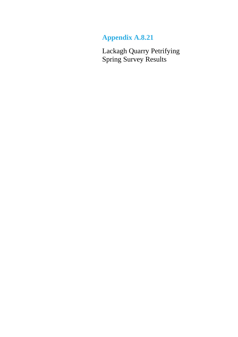## **Appendix A.8.21**

Lackagh Quarry Petrifying Spring Survey Results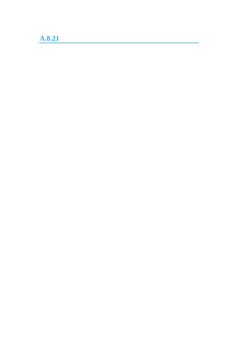# **A.8.21**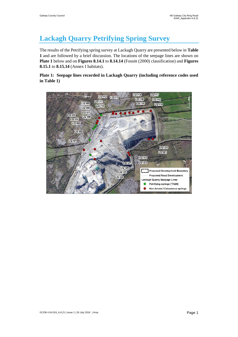### **Lackagh Quarry Petrifying Spring Survey**

The results of the Petrifying spring survey at Lackagh Quarry are presented below in **Table 1** and are followed by a brief discussion. The locations of the seepage lines are shown on **Plate 1** below and on **Figures 8.14.1** to **8.14.14** (Fossitt (2000) classification) and **Figures 8.15.1** to **8.15.14** (Annex I habitats).

#### **Plate 1: Seepage lines recorded in Lackagh Quarry (including reference codes used in Table 1)**

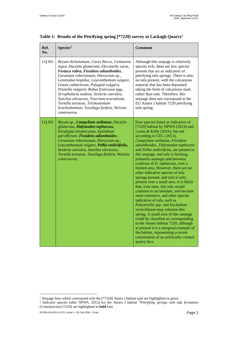| Ref.<br>No.   | Species <sup>2</sup>                                                                                                                                                                                                                                                                                                                                                                                                                                                                                | <b>Comment</b>                                                                                                                                                                                                                                                                                                                                                                                                                                                                                                                                                                                                                                                                                                                                                                                                                                                                                                                                                                                                               |
|---------------|-----------------------------------------------------------------------------------------------------------------------------------------------------------------------------------------------------------------------------------------------------------------------------------------------------------------------------------------------------------------------------------------------------------------------------------------------------------------------------------------------------|------------------------------------------------------------------------------------------------------------------------------------------------------------------------------------------------------------------------------------------------------------------------------------------------------------------------------------------------------------------------------------------------------------------------------------------------------------------------------------------------------------------------------------------------------------------------------------------------------------------------------------------------------------------------------------------------------------------------------------------------------------------------------------------------------------------------------------------------------------------------------------------------------------------------------------------------------------------------------------------------------------------------------|
| <b>LQ I01</b> | Bryum dichotomum, Carex flacca, Centaurea<br>nigra, Dactylis glomerata, Dicranella varia,<br>Festuca rubra, Fissidens adianthoides,<br>Geranium robertianum, Hieracium sp.,<br>Leontodon hispidus, Leucanthemum vulgare,<br>Linum catharticum, Polygala vulgaris,<br>Prunella vulgaris, Rubus fruticosus agg.,<br>Scrophularia nodosa, Sesleria caerulea,<br>Sonchus oleraceus, Teucrium scorodonia,<br>Tortella tortuosa, Trichostomum<br>brachydontium, Tussilago farfara, Weissia<br>controversa | Although this seepage is relatively<br>species rich, there are few species<br>present that act as indicators of<br>petrifying tufa springs. There is also<br>no tufa present, with the calcareous<br>material that has been deposited<br>taking the form of calcareous mud,<br>rather than tufa. Therefore, this<br>seepage does not correspond to the<br>EU Annex I habitat 7220 petrifying<br>tufa spring.                                                                                                                                                                                                                                                                                                                                                                                                                                                                                                                                                                                                                 |
| <b>LQ I02</b> | Bryum sp., Campylium stellatum, Dactylis<br>glomerata, Didymodon tophaceus,<br>Encalypta streptocarpa, Epilobium<br>parviflorum, Fissidens adianthoides,<br>Geranium robertianum, Hieracium sp.,<br>Leucanthemum vulgare, Pellia endiviifolia,<br>Sesleria caerulea, Sonchus oleraceus,<br>Tortella tortuosa, Tussilago farfara, Weissia<br>controversa.                                                                                                                                            | Four species listed as indicative of<br>[7220] habitat by NPWS (2013) and<br>Lyons & Kelly (2016), but not<br>according to CEC (2013),<br>Campylium stellatum, Fissidens<br>adianthoides, Didymodon tophaceus<br>and Pellia endiviifolia, are present in<br>this seepage, and tufa is forming,<br>primarily amongst and between<br>cushions of <i>D. tophaceus</i> , over a<br>limited area. However, there are no<br>other indicative species of tufa<br>springs present, and tufa is only<br>present over a small area. It is likely<br>that, over time, this tufa would<br>continue to accumulate, and become<br>more extensive, and other species<br>indicative of tufa, such as<br>Palustriella spp. and Eucladium<br>verticillatum may colonise this<br>spring. A small area of this seepage<br>could be classified as corresponding<br>to the Annex habitat 7220, although<br>at present it is a marginal example of<br>the habitat, representing a recent<br>colonisation of an artificially created<br>quarry face. |

**Table 1: Results of the Petrifying spring [\*7220] survey at Lackagh Quarry<sup>1</sup>**

 $\ddot{\phantom{a}}$ 

<sup>&</sup>lt;sup>1</sup> Seepage lines which correspond with the [\*7220] Annex I habitat type are highlighted in green <sup>2</sup> Indicator species (after NPWS, 2013) for the Annex I habitat \**Petrifying springs with tufa formation (Cratoneurion)* [7220] are highlighted in **bold** font.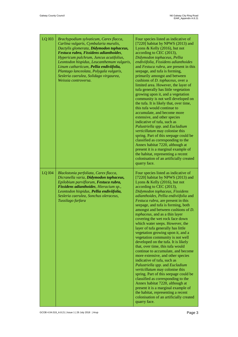| LQ 103        | Brachypodium sylvaticum, Carex flacca,<br>Carlina vulgaris, Cymbalaria muralis,<br>Dactylis glomerata, Didymodon tophaceus,<br>Festuca rubra, Fissidens adianthoides,<br>Hypericum pulchrum, Juncus acutifolius,<br>Leontodon hispidus, Leucanthemum vulgaris,<br>Linum catharticum, Pellia endiviifolia,<br>Plantago lanceolata, Polygala vulgaris,<br>Sesleria caerulea, Solidago virgaurea,<br>Weissia controversa. | Four species listed as indicative of<br>[7220] habitat by NPWS (2013) and<br>Lyons & Kelly (2016), but not<br>according to CEC (2013),<br>Didymodon tophaceus, Pellia<br>endiviifolia, Fissidens adianthoides<br>and Festuca rubra, are present in this<br>seepage, and tufa is forming,<br>primarily amongst and between<br>cushions of <i>D. tophaceus</i> , over a<br>limited area. However, the layer of<br>tufa generally has little vegetation<br>growing upon it, and a vegetation<br>community is not well developed on<br>the tufa. It is likely that, over time,<br>this tufa would continue to<br>accumulate, and become more<br>extensive, and other species<br>indicative of tufa, such as<br>Palustriella spp. and Eucladium<br>verticillatum may colonise this<br>spring. Part of this seepage could be<br>classified as corresponding to the<br>Annex habitat 7220, although at<br>present it is a marginal example of<br>the habitat, representing a recent<br>colonisation of an artificially created<br>quarry face.                                            |
|---------------|------------------------------------------------------------------------------------------------------------------------------------------------------------------------------------------------------------------------------------------------------------------------------------------------------------------------------------------------------------------------------------------------------------------------|------------------------------------------------------------------------------------------------------------------------------------------------------------------------------------------------------------------------------------------------------------------------------------------------------------------------------------------------------------------------------------------------------------------------------------------------------------------------------------------------------------------------------------------------------------------------------------------------------------------------------------------------------------------------------------------------------------------------------------------------------------------------------------------------------------------------------------------------------------------------------------------------------------------------------------------------------------------------------------------------------------------------------------------------------------------------------------|
| <b>LQ I04</b> | Blackstonia perfoliata, Carex flacca,<br>Dicranella varia, Didymodon tophaceus,<br>Epilobium parviflorum, Festuca rubra,<br>Fissidens adianthoides, Hieracium sp.,<br>Leontodon hispidus, Pellia endiviifolia,<br>Sesleria caerulea, Sonchus oleraceus,<br>Tussilago farfara                                                                                                                                           | Four species listed as indicative of<br>[7220] habitat by NPWS (2013) and<br>Lyons & Kelly $(2016)$ , but not<br>according to CEC (2013),<br>Didymodon tophaceus, Fissidens<br>adianthoides, Pellia endiviifolia and<br>Festuca rubra, are present in this<br>seepage, and tufa is forming, both<br>amongst and between cushions of D.<br>tophaceus, and as a thin layer<br>covering the wet rock face down<br>which water seeps. However, the<br>layer of tufa generally has little<br>vegetation growing upon it, and a<br>vegetation community is not well<br>developed on the tufa. It is likely<br>that, over time, this tufa would<br>continue to accumulate, and become<br>more extensive, and other species<br>indicative of tufa, such as<br>Palustriella spp. and Eucladium<br>verticillatum may colonise this<br>spring. Part of this seepage could be<br>classified as corresponding to the<br>Annex habitat 7220, although at<br>present it is a marginal example of<br>the habitat, representing a recent<br>colonisation of an artificially created<br>quarry face. |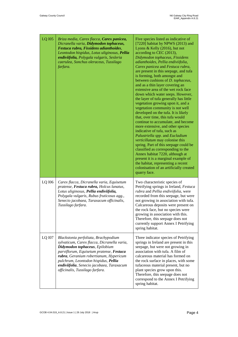| LQ 105        | Briza media, Carex flacca, Carex panicea,<br>Dicranella varia, Didymodon tophaceus,<br>Festuca rubra, Fissidens adianthoides,<br>Leontodon hispidus, Lotus uliginosus, Pellia<br>endiviifolia, Polygala vulgaris, Sesleria<br>caerulea, Sonchus oleraceus, Tussilago<br>farfara.                                                    | Five species listed as indicative of<br>[7220] habitat by NPWS (2013) and<br>Lyons & Kelly (2016), but not<br>according to CEC (2013),<br>Didymodon tophaceus, Fissidens<br>adianthoides, Pellia endiviifolia,<br>Carex panicea and Festuca rubra,<br>are present in this seepage, and tufa<br>is forming, both amongst and<br>between cushions of D. tophaceus,<br>and as a thin layer covering an<br>extensive area of the wet rock face<br>down which water seeps. However,<br>the layer of tufa generally has little<br>vegetation growing upon it, and a<br>vegetation community is not well<br>developed on the tufa. It is likely<br>that, over time, this tufa would<br>continue to accumulate, and become<br>more extensive, and other species<br>indicative of tufa, such as<br>Palustriella spp. and Eucladium<br>verticillatum may colonise this<br>spring. Part of this seepage could be<br>classified as corresponding to the<br>Annex habitat 7220, although at<br>present it is a marginal example of<br>the habitat, representing a recent<br>colonisation of an artificially created<br>quarry face. |
|---------------|-------------------------------------------------------------------------------------------------------------------------------------------------------------------------------------------------------------------------------------------------------------------------------------------------------------------------------------|------------------------------------------------------------------------------------------------------------------------------------------------------------------------------------------------------------------------------------------------------------------------------------------------------------------------------------------------------------------------------------------------------------------------------------------------------------------------------------------------------------------------------------------------------------------------------------------------------------------------------------------------------------------------------------------------------------------------------------------------------------------------------------------------------------------------------------------------------------------------------------------------------------------------------------------------------------------------------------------------------------------------------------------------------------------------------------------------------------------------|
| LQ I06        | Carex flacca, Dicranella varia, Equisetum<br>pratense, Festuca rubra, Holcus lanatus,<br>Lotus uliginosus, Pellia endiviifolia,<br>Polygala vulgaris, Rubus fruticosus agg.,<br>Senecio jacobaea, Taraxacum officinalis,<br>Tussilago farfara.                                                                                      | Two characteristic species of<br>Petrifying springs in Ireland, Festuca<br>rubra and Pellia endiviifolia, were<br>recorded from this seepage, but were<br>not growing in association with tufa.<br>Calcareous deposits were present on<br>the rock face, but no species were<br>growing in association with this.<br>Therefore, this seepage does not<br>currently support Annex I Petrifying<br>spring habitat.                                                                                                                                                                                                                                                                                                                                                                                                                                                                                                                                                                                                                                                                                                       |
| <b>LQ I07</b> | Blackstonia perfoliata, Brachypodium<br>sylvaticum, Carex flacca, Dicranella varia,<br>Didymodon tophaceus, Epilobium<br>parviflorum, Equisetum pratense, Festuca<br>rubra, Geranium robertianum, Hypericum<br>pulchrum, Leontodon hispidus, Pellia<br>endiviifolia, Senecio jacobaea, Taraxacum<br>officinalis, Tussilago farfara. | Three indicator species of Petrifying<br>springs in Ireland are present in this<br>seepage, but were not growing in<br>association with tufa. A film of<br>calcareous material has formed on<br>the rock surface in places, with some<br>tufaceous material present, but no<br>plant species grow upon this.<br>Therefore, this seepage does not<br>correspond to the Annex I Petrifying<br>spring habitat.                                                                                                                                                                                                                                                                                                                                                                                                                                                                                                                                                                                                                                                                                                            |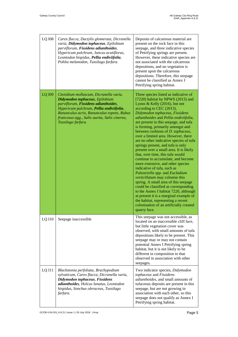| <b>LQ I08</b> | Carex flacca, Dactylis glomerata, Dicranella<br>varia, Didymodon tophaceus, Epilobium<br>parviflorum, Fissidens adianthoides,<br>Hypericum pulchrum, Juncus acutiflorus,<br>Leontodon hispidus, Pellia endiviifolia,<br>Pohlia melanodon, Tussilago farfara.                      | Deposits of calcareous material are<br>present on the rock face in this<br>seepage, and three indicative species<br>of Petrifying springs are present.<br>However, these indicative species are<br>not associated with the calcareous<br>depositions, and no vegetation is<br>present upon the calcareous<br>depositions. Therefore, this seepage<br>cannot be classified as Annex I<br>Petrifying spring habitat.                                                                                                                                                                                                                                                                                                                                                                                                                                                                                                                                                                                 |
|---------------|-----------------------------------------------------------------------------------------------------------------------------------------------------------------------------------------------------------------------------------------------------------------------------------|----------------------------------------------------------------------------------------------------------------------------------------------------------------------------------------------------------------------------------------------------------------------------------------------------------------------------------------------------------------------------------------------------------------------------------------------------------------------------------------------------------------------------------------------------------------------------------------------------------------------------------------------------------------------------------------------------------------------------------------------------------------------------------------------------------------------------------------------------------------------------------------------------------------------------------------------------------------------------------------------------|
| LQ I09        | Ctenidium molluscum, Dicranella varia,<br>Didymodon tophaceus, Epilobium<br>parviflorum, Fissidens adianthoides,<br>Hypericum pulchrum, Pellia endiviifolia,<br>Ranunculus acris, Ranunculus repens, Rubus<br>fruticosus agg., Salix aurita, Salix cinerea,<br>Tussilago farfara. | Three species listed as indicative of<br>[7220] habitat by NPWS (2013) and<br>Lyons & Kelly $(2016)$ , but not<br>according to CEC (2013),<br>Didymodon tophaceus, Fissidens<br>adianthoides and Pellia endiviifolia,<br>are present in this seepage, and tufa<br>is forming, primarily amongst and<br>between cushions of D. tophaceus,<br>over a limited area. However, there<br>are no other indicative species of tufa<br>springs present, and tufa is only<br>present over a small area. It is likely<br>that, over time, this tufa would<br>continue to accumulate, and become<br>more extensive, and other species<br>indicative of tufa, such as<br>Palustriella spp. and Eucladium<br>verticillatum may colonise this<br>spring. A small area of this seepage<br>could be classified as corresponding<br>to the Annex I habitat 7220, although<br>at present it is a marginal example of<br>the habitat, representing a recent<br>colonisation of an artificially created<br>quarry face. |
| <b>LQ I10</b> | Seepage inaccessible                                                                                                                                                                                                                                                              | This seepage was not accessible, as<br>located on an inaccessible cliff face,<br>but little vegetation cover was<br>observed, with small amounts of tufa<br>depositions likely to be present. This<br>seepage may or may not contain<br>potential Annex I Petrifying spring<br>habitat, but it is not likely to be<br>different in composition to that<br>observed in association with other<br>seepages.                                                                                                                                                                                                                                                                                                                                                                                                                                                                                                                                                                                          |
| LQ I11        | Blackstonia perfoliata, Brachypodium<br>sylvaticum, Carex flacca, Dicranella varia,<br>Didymodon tophaceus, Fissidens<br>adianthoides, Holcus lanatus, Leontodon<br>hispidus, Sonchus oleraceus, Tussilago<br>farfara.                                                            | Two indicator species, Didymodon<br>tophaceus and Fissidens<br>adianthoides, and small amounts of<br>tufaceous deposits are present in this<br>seepage, but are not growing in<br>association with each other, so this<br>seepage does not qualify as Annex I<br>Petrifying spring habitat.                                                                                                                                                                                                                                                                                                                                                                                                                                                                                                                                                                                                                                                                                                        |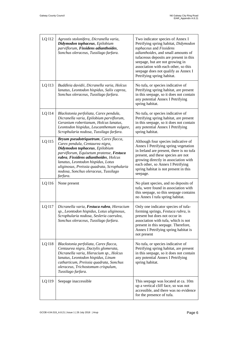| LQ I12 | Agrostis stolonifera, Dicranella varia,<br>Didymodon tophaceus, Epilobium<br>parviflorum, Fissidens adianthoides,<br>Sonchus oleraceus, Tussilago farfara.                                                                                                                                                                               | Two indicator species of Annex I<br>Petrifying spring habitat, Didymodon<br>tophaceus and Fissidens<br>adianthoides, and small amounts of<br>tufaceous deposits are present in this<br>seepage, but are not growing in<br>association with each other, so this<br>seepage does not qualify as Annex I<br>Petrifying spring habitat. |
|--------|------------------------------------------------------------------------------------------------------------------------------------------------------------------------------------------------------------------------------------------------------------------------------------------------------------------------------------------|-------------------------------------------------------------------------------------------------------------------------------------------------------------------------------------------------------------------------------------------------------------------------------------------------------------------------------------|
| LQ I13 | Buddleia davidii, Dicranella varia, Holcus<br>lanatus, Leontodon hispidus, Salix caprea,<br>Sonchus oleraceus, Tussilago farfara.                                                                                                                                                                                                        | No tufa, or species indicative of<br>Petrifying spring habitat, are present<br>in this seepage, so it does not contain<br>any potential Annex I Petrifying<br>spring habitat.                                                                                                                                                       |
| LQ I14 | Blackstonia perfoliata, Carex pendula,<br>Dicranella varia, Epilobium parviflorum,<br>Geranium robertianum, Holcus lanatus,<br>Leontodon hispidus, Leucanthemum vulgare,<br>Scrophularia nodosa, Tussilago farfara.                                                                                                                      | No tufa, or species indicative of<br>Petrifying spring habitat, are present<br>in this seepage, so it does not contain<br>any potential Annex I Petrifying<br>spring habitat.                                                                                                                                                       |
| LQ I15 | Bryum pseudotriquetrum, Carex flacca,<br>Carex pendula, Centaurea nigra,<br>Didymodon tophaceus, Epilobium<br>parviflorum, Equisetum pratense, Festuca<br>rubra, Fissidens adianthoides, Holcus<br>lanatus, Leontodon hispidus, Lotus<br>uliginosus, Preissia quadrata, Scrophularia<br>nodosa, Sonchus oleraceus, Tussilago<br>farfara. | Although four species indicative of<br>Annex I Petrifying spring vegetation<br>in Ireland are present, there is no tufa<br>present, and these species are not<br>growing directly in association with<br>each other, so Annex I Petrifying<br>spring habitat is not present in this<br>seepage.                                     |
| LQ I16 | None present                                                                                                                                                                                                                                                                                                                             | No plant species, and no deposits of<br>tufa, were found in association with<br>this seepage, so this seepage contains<br>no Annex I tufa spring habitat.                                                                                                                                                                           |
| LQ I17 | Dicranella varia, Festuca rubra, Hieracium<br>sp., Leontodon hispidus, Lotus uliginosus,<br>Scrophularia nodosa, Sesleria caerulea,<br>Sonchus oleraceus, Tussilago farfara.                                                                                                                                                             | Only one indicator species of tufa-<br>forming springs, Festuca rubra, is<br>present but does not occur in<br>association with tufa, which is not<br>present in this seepage. Therefore,<br>Annex I Petrifying spring habitat is<br>not present                                                                                     |
| LQ I18 | Blackstonia perfoliata, Carex flacca,<br>Centaurea nigra, Dactylis glomerata,<br>Dicranella varia, Hieracium sp., Holcus<br>lanatus, Leontodon hispidus, Linum<br>catharticum, Preissia quadrata, Sonchus<br>oleraceus, Trichostomum crispulum,<br>Tussilago farfara.                                                                    | No tufa, or species indicative of<br>Petrifying spring habitat, are present<br>in this seepage, so it does not contain<br>any potential Annex I Petrifying<br>spring habitat.                                                                                                                                                       |
| LQ I19 | Seepage inaccessible                                                                                                                                                                                                                                                                                                                     | This seepage was located at ca. 10m<br>up a vertical cliff face, so was not<br>accessible, and there was no evidence<br>for the presence of tufa.                                                                                                                                                                                   |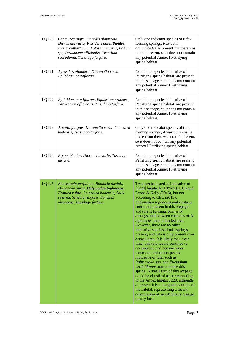| <b>LQ I20</b> | Centaurea nigra, Dactylis glomerata,<br>Dicranella varia, Fissidens adianthoides,<br>Linum catharticum, Lotus uliginosus, Pohlia<br>sp., Taraxacum officinalis, Teucrium<br>scorodonia, Tussilago farfara. | Only one indicator species of tufa-<br>forming springs, Fissidens<br>adianthoides, is present but there was<br>no tufa present, so it does not contain<br>any potential Annex I Petrifying<br>spring habitat.                                                                                                                                                                                                                                                                                                                                                                                                                                                                                                                                                                                                                                                                                                                                                 |
|---------------|------------------------------------------------------------------------------------------------------------------------------------------------------------------------------------------------------------|---------------------------------------------------------------------------------------------------------------------------------------------------------------------------------------------------------------------------------------------------------------------------------------------------------------------------------------------------------------------------------------------------------------------------------------------------------------------------------------------------------------------------------------------------------------------------------------------------------------------------------------------------------------------------------------------------------------------------------------------------------------------------------------------------------------------------------------------------------------------------------------------------------------------------------------------------------------|
| LQ I21        | Agrostis stolonifera, Dicranella varia,<br>Epilobium parviflorum.                                                                                                                                          | No tufa, or species indicative of<br>Petrifying spring habitat, are present<br>in this seepage, so it does not contain<br>any potential Annex I Petrifying<br>spring habitat.                                                                                                                                                                                                                                                                                                                                                                                                                                                                                                                                                                                                                                                                                                                                                                                 |
| LQ I22        | Epilobium parviflorum, Equisetum pratense,<br>Taraxacum officinalis, Tussilago farfara.                                                                                                                    | No tufa, or species indicative of<br>Petrifying spring habitat, are present<br>in this seepage, so it does not contain<br>any potential Annex I Petrifying<br>spring habitat.                                                                                                                                                                                                                                                                                                                                                                                                                                                                                                                                                                                                                                                                                                                                                                                 |
| LQ I23        | Aneura pinguis, Dicranella varia, Leiocolea<br>badensis, Tussilago farfara.                                                                                                                                | Only one indicator species of tufa-<br>forming springs, Aneura pinguis, is<br>present but there was no tufa present,<br>so it does not contain any potential<br>Annex I Petrifying spring habitat.                                                                                                                                                                                                                                                                                                                                                                                                                                                                                                                                                                                                                                                                                                                                                            |
| LQ I24        | Bryum bicolor, Dicranella varia, Tussilago<br>farfara.                                                                                                                                                     | No tufa, or species indicative of<br>Petrifying spring habitat, are present<br>in this seepage, so it does not contain<br>any potential Annex I Petrifying<br>spring habitat.                                                                                                                                                                                                                                                                                                                                                                                                                                                                                                                                                                                                                                                                                                                                                                                 |
| <b>LQ I25</b> | Blackstonia perfoliata, Buddleia davidii,<br>Dicranella varia, Didymodon tophaceus,<br>Festuca rubra, Leiocolea badensis, Salix<br>cinerea, Senecio vulgaris, Sonchus<br>oleraceus, Tussilago farfara.     | Two species listed as indicative of<br>[7220] habitat by NPWS (2013) and<br>Lyons & Kelly (2016), but not<br>according to CEC (2013),<br>Didymodon tophaceus and Festuca<br>rubra, are present in this seepage,<br>and tufa is forming, primarily<br>amongst and between cushions of D.<br>tophaceus, over a limited area.<br>However, there are no other<br>indicative species of tufa springs<br>present, and tufa is only present over<br>a small area. It is likely that, over<br>time, this tufa would continue to<br>accumulate, and become more<br>extensive, and other species<br>indicative of tufa, such as<br>Palustriella spp. and Eucladium<br>verticillatum may colonise this<br>spring. A small area of this seepage<br>could be classified as corresponding<br>to the Annex habitat 7220, although<br>at present it is a marginal example of<br>the habitat, representing a recent<br>colonisation of an artificially created<br>quarry face. |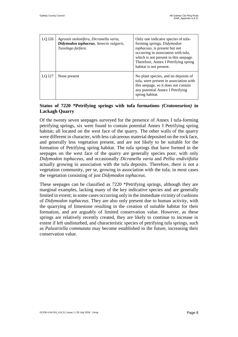| LQ I26 | Agrostis stolonifera, Dicranella varia,<br>Didymodon tophaceus, Senecio vulgaris,<br>Tussilago farfara. | Only one indicator species of tufa-<br>forming springs, Didymodon<br>tophaceus, is present but not<br>occurring in association with tufa,<br>which is not present in this seepage.<br>Therefore, Annex I Petrifying spring<br>habitat is not present. |
|--------|---------------------------------------------------------------------------------------------------------|-------------------------------------------------------------------------------------------------------------------------------------------------------------------------------------------------------------------------------------------------------|
| LO 127 | None present                                                                                            | No plant species, and no deposits of<br>tufa, were present in association with<br>this seepage, so it does not contain<br>any potential Annex I Petrifying<br>spring habitat.                                                                         |

#### **Status of 7220 \*Petrifying springs with tufa formations** *(Cratoneurion)* **in Lackagh Quarry**

Of the twenty seven seepages surveyed for the presence of Annex I tufa-forming petrifying springs, six were found to contain potential Annex I Petrifying spring habitat; all located on the west face of the quarry. The other walls of the quarry were different in character, with less calcareous material deposited on the rock face, and generally less vegetation present, and are not likely to be suitable for the formation of Petrifying spring habitat. The tufa springs that have formed in the seepages on the west face of the quarry are generally species poor, with only *Didymodon tophaceus*, and occasionally *Dicranella varia* and *Pellia endiviifolia* actually growing in association with the tufa deposits. Therefore, there is not a vegetation community, per se, growing in association with the tufa; in most cases the vegetation consisting of just *Didymodon tophaceus*.

These seepages can be classified as 7220 \*Petrifying springs, although they are marginal examples, lacking many of the key indicative species and are generally limited in extent; in some cases occurring only in the immediate vicinity of cushions of *Didymodon tophaceus*. They are also only present due to human activity, with the quarrying of limestone resulting in the creation of suitable habitat for their formation, and are arguably of limited conservation value. However, as these springs are relatively recently created, they are likely to continue to increase in extent if left undisturbed, and characteristic species of petrifying tufa springs, such as *Palustriella commutata* may become established in the future, increasing their conservation value.